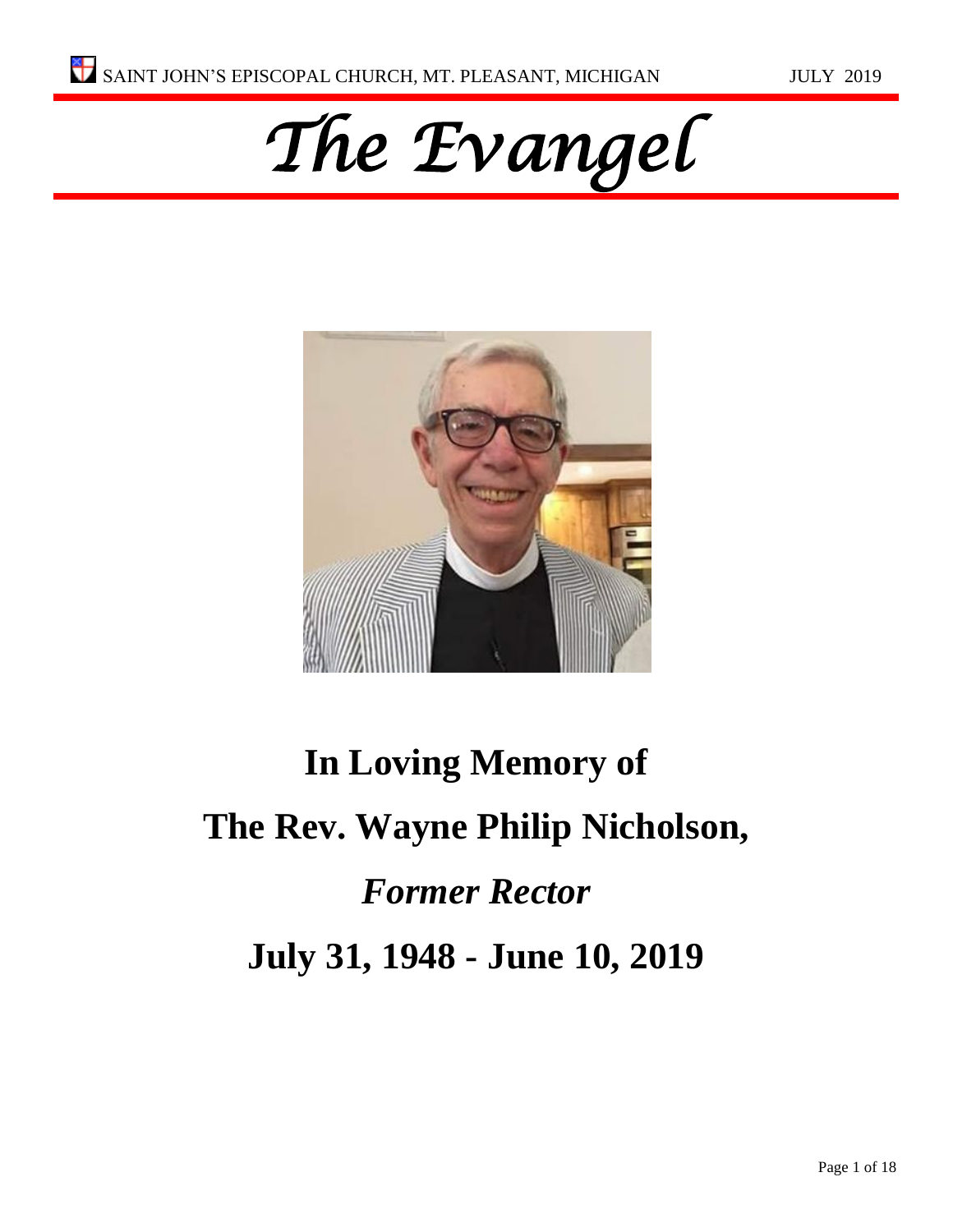



# **In Loving Memory of The Rev. Wayne Philip Nicholson,** *Former Rector* **July 31, 1948 - June 10, 2019**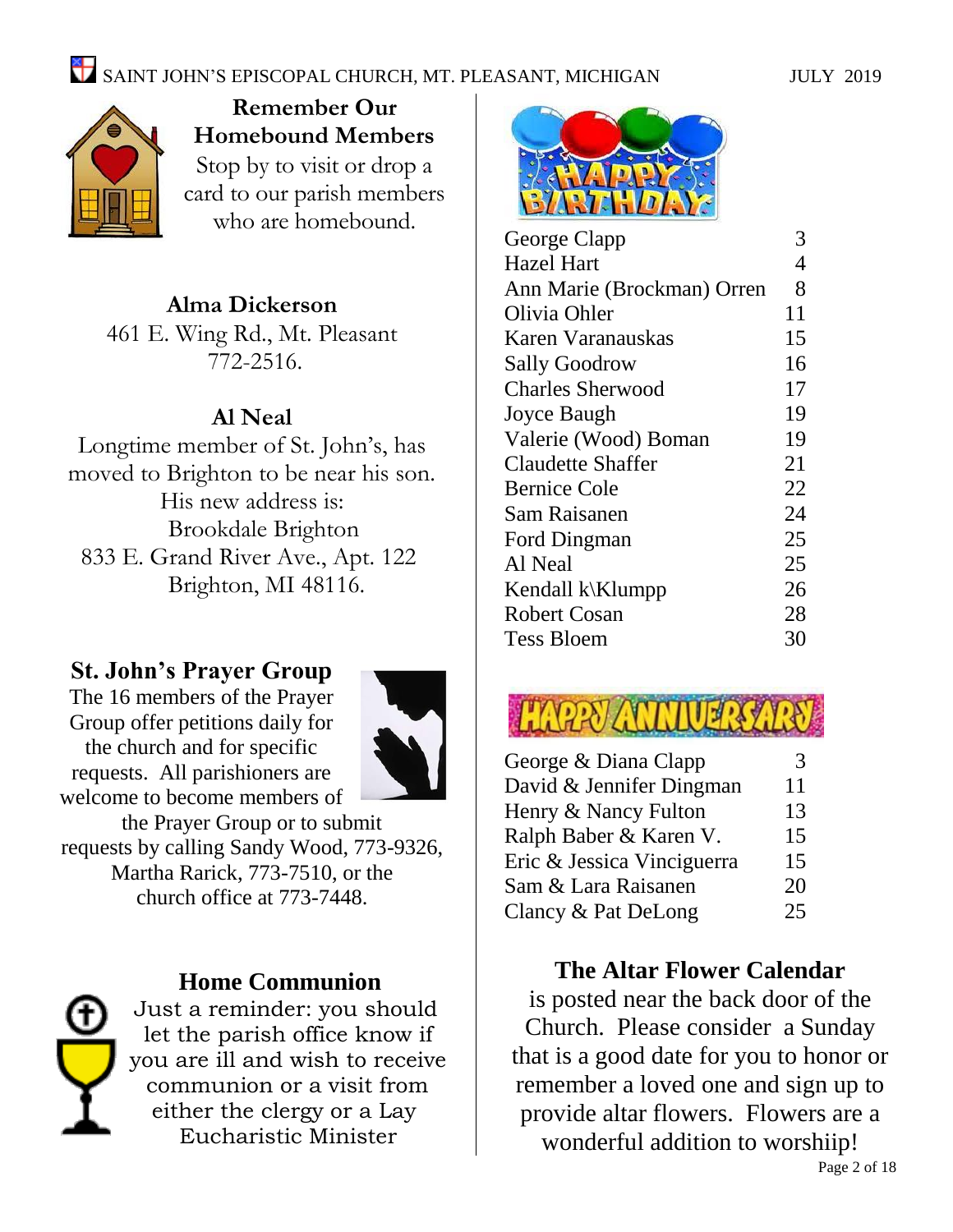

**Remember Our Homebound Members** Stop by to visit or drop a card to our parish members who are homebound.

#### **Alma Dickerson**

461 E. Wing Rd., Mt. Pleasant 772-2516.

#### **Al Neal**

Longtime member of St. John's, has moved to Brighton to be near his son. His new address is: Brookdale Brighton 833 E. Grand River Ave., Apt. 122 Brighton, MI 48116.

#### **St. John's Prayer Group**

The 16 members of the Prayer Group offer petitions daily for the church and for specific requests. All parishioners are welcome to become members of



the Prayer Group or to submit requests by calling Sandy Wood, 773-9326, Martha Rarick, 773-7510, or the church office at 773-7448.



#### **Home Communion**

Just a reminder: you should let the parish office know if you are ill and wish to receive communion or a visit from either the clergy or a Lay Eucharistic Minister



| George Clapp               | 3              |
|----------------------------|----------------|
| Hazel Hart                 | $\overline{4}$ |
| Ann Marie (Brockman) Orren | 8              |
| Olivia Ohler               | 11             |
| Karen Varanauskas          | 15             |
| <b>Sally Goodrow</b>       | 16             |
| <b>Charles Sherwood</b>    | 17             |
| Joyce Baugh                | 19             |
| Valerie (Wood) Boman       | 19             |
| <b>Claudette Shaffer</b>   | 21             |
| <b>Bernice Cole</b>        | 22             |
| Sam Raisanen               | 24             |
| Ford Dingman               | 25             |
| Al Neal                    | 25             |
| Kendall k\Klumpp           | 26             |
| Robert Cosan               | 28             |
| Tess Bloem                 | 30             |
|                            |                |



| George & Diana Clapp       | 3  |
|----------------------------|----|
| David & Jennifer Dingman   | 11 |
| Henry & Nancy Fulton       | 13 |
| Ralph Baber & Karen V.     | 15 |
| Eric & Jessica Vinciguerra | 15 |
| Sam & Lara Raisanen        | 20 |
| Clancy & Pat DeLong        | 25 |

#### **The Altar Flower Calendar**

is posted near the back door of the Church. Please consider a Sunday that is a good date for you to honor or remember a loved one and sign up to provide altar flowers. Flowers are a wonderful addition to worshiip!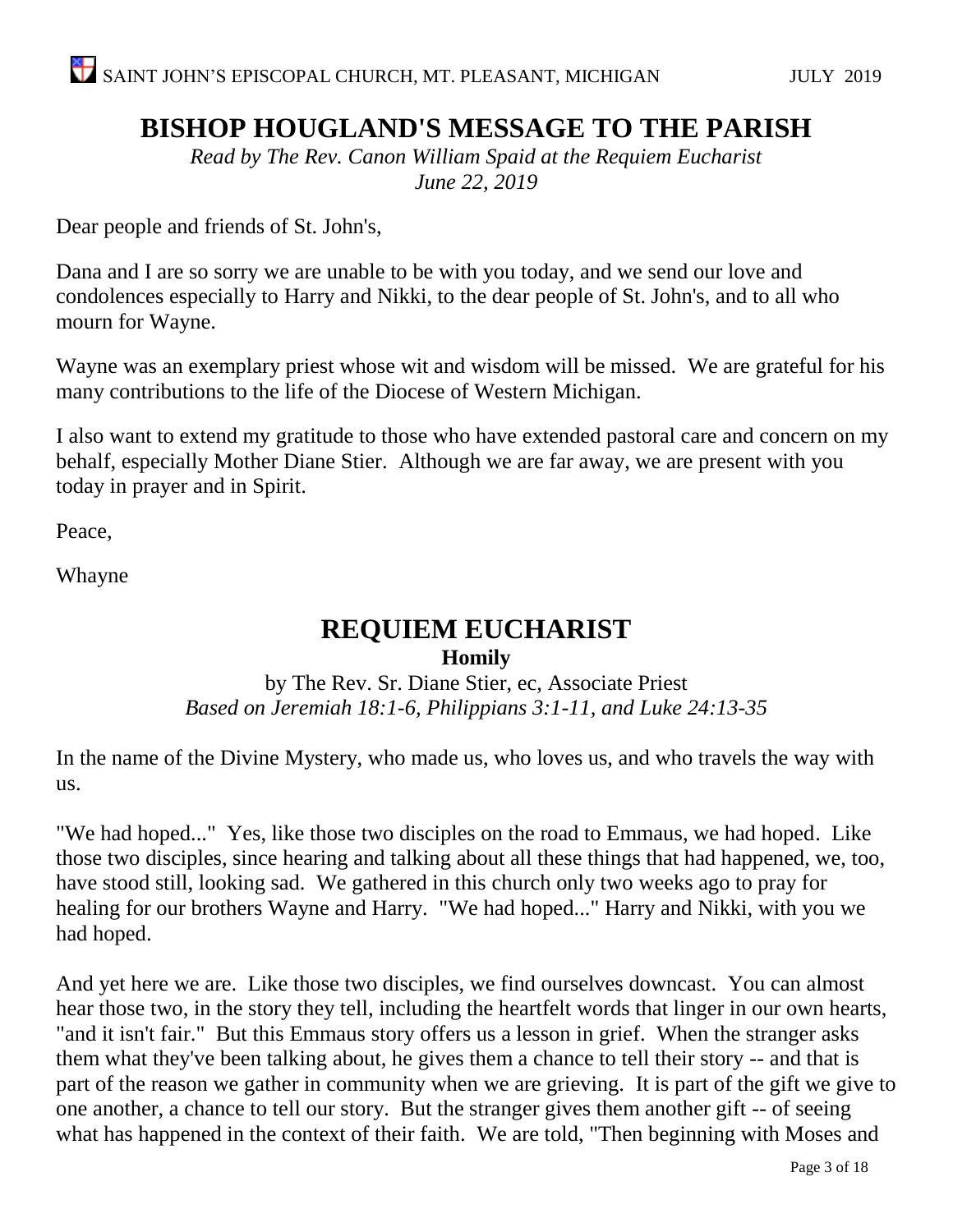## **BISHOP HOUGLAND'S MESSAGE TO THE PARISH**

*Read by The Rev. Canon William Spaid at the Requiem Eucharist June 22, 2019*

Dear people and friends of St. John's,

Dana and I are so sorry we are unable to be with you today, and we send our love and condolences especially to Harry and Nikki, to the dear people of St. John's, and to all who mourn for Wayne.

Wayne was an exemplary priest whose wit and wisdom will be missed. We are grateful for his many contributions to the life of the Diocese of Western Michigan.

I also want to extend my gratitude to those who have extended pastoral care and concern on my behalf, especially Mother Diane Stier. Although we are far away, we are present with you today in prayer and in Spirit.

Peace,

Whayne

#### **REQUIEM EUCHARIST Homily**

by The Rev. Sr. Diane Stier, ec, Associate Priest *Based on Jeremiah 18:1-6, Philippians 3:1-11, and Luke 24:13-35*

In the name of the Divine Mystery, who made us, who loves us, and who travels the way with us.

"We had hoped..." Yes, like those two disciples on the road to Emmaus, we had hoped. Like those two disciples, since hearing and talking about all these things that had happened, we, too, have stood still, looking sad. We gathered in this church only two weeks ago to pray for healing for our brothers Wayne and Harry. "We had hoped..." Harry and Nikki, with you we had hoped.

And yet here we are. Like those two disciples, we find ourselves downcast. You can almost hear those two, in the story they tell, including the heartfelt words that linger in our own hearts, "and it isn't fair." But this Emmaus story offers us a lesson in grief. When the stranger asks them what they've been talking about, he gives them a chance to tell their story -- and that is part of the reason we gather in community when we are grieving. It is part of the gift we give to one another, a chance to tell our story. But the stranger gives them another gift -- of seeing what has happened in the context of their faith. We are told, "Then beginning with Moses and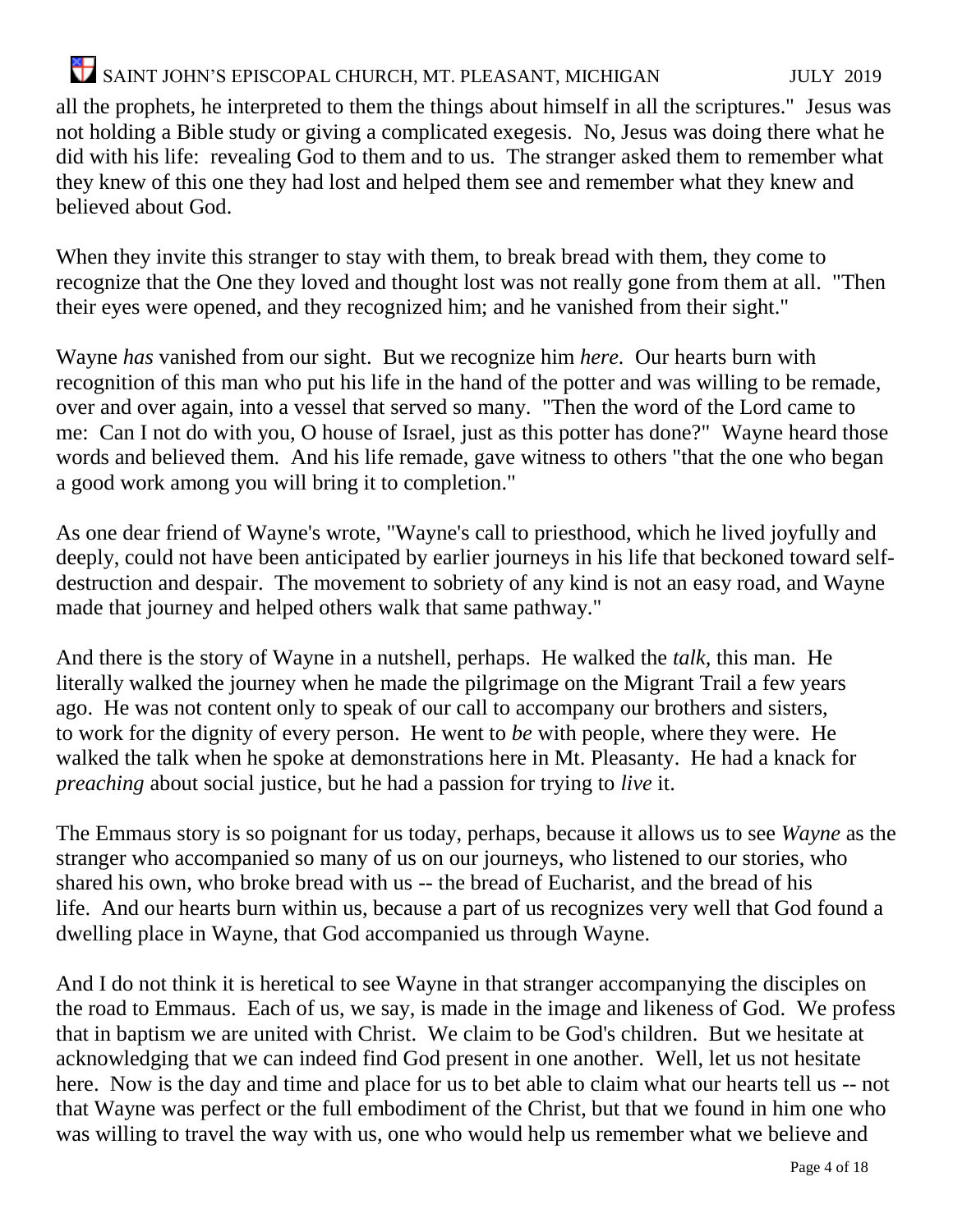all the prophets, he interpreted to them the things about himself in all the scriptures." Jesus was not holding a Bible study or giving a complicated exegesis. No, Jesus was doing there what he did with his life: revealing God to them and to us. The stranger asked them to remember what they knew of this one they had lost and helped them see and remember what they knew and believed about God.

When they invite this stranger to stay with them, to break bread with them, they come to recognize that the One they loved and thought lost was not really gone from them at all. "Then their eyes were opened, and they recognized him; and he vanished from their sight."

Wayne *has* vanished from our sight. But we recognize him *here.* Our hearts burn with recognition of this man who put his life in the hand of the potter and was willing to be remade, over and over again, into a vessel that served so many. "Then the word of the Lord came to me: Can I not do with you, O house of Israel, just as this potter has done?" Wayne heard those words and believed them. And his life remade, gave witness to others "that the one who began a good work among you will bring it to completion."

As one dear friend of Wayne's wrote, "Wayne's call to priesthood, which he lived joyfully and deeply, could not have been anticipated by earlier journeys in his life that beckoned toward selfdestruction and despair. The movement to sobriety of any kind is not an easy road, and Wayne made that journey and helped others walk that same pathway."

And there is the story of Wayne in a nutshell, perhaps. He walked the *talk,* this man. He literally walked the journey when he made the pilgrimage on the Migrant Trail a few years ago. He was not content only to speak of our call to accompany our brothers and sisters, to work for the dignity of every person. He went to *be* with people, where they were. He walked the talk when he spoke at demonstrations here in Mt. Pleasanty. He had a knack for *preaching* about social justice, but he had a passion for trying to *live* it.

The Emmaus story is so poignant for us today, perhaps, because it allows us to see *Wayne* as the stranger who accompanied so many of us on our journeys, who listened to our stories, who shared his own, who broke bread with us -- the bread of Eucharist, and the bread of his life. And our hearts burn within us, because a part of us recognizes very well that God found a dwelling place in Wayne, that God accompanied us through Wayne.

And I do not think it is heretical to see Wayne in that stranger accompanying the disciples on the road to Emmaus. Each of us, we say, is made in the image and likeness of God. We profess that in baptism we are united with Christ. We claim to be God's children. But we hesitate at acknowledging that we can indeed find God present in one another. Well, let us not hesitate here. Now is the day and time and place for us to bet able to claim what our hearts tell us -- not that Wayne was perfect or the full embodiment of the Christ, but that we found in him one who was willing to travel the way with us, one who would help us remember what we believe and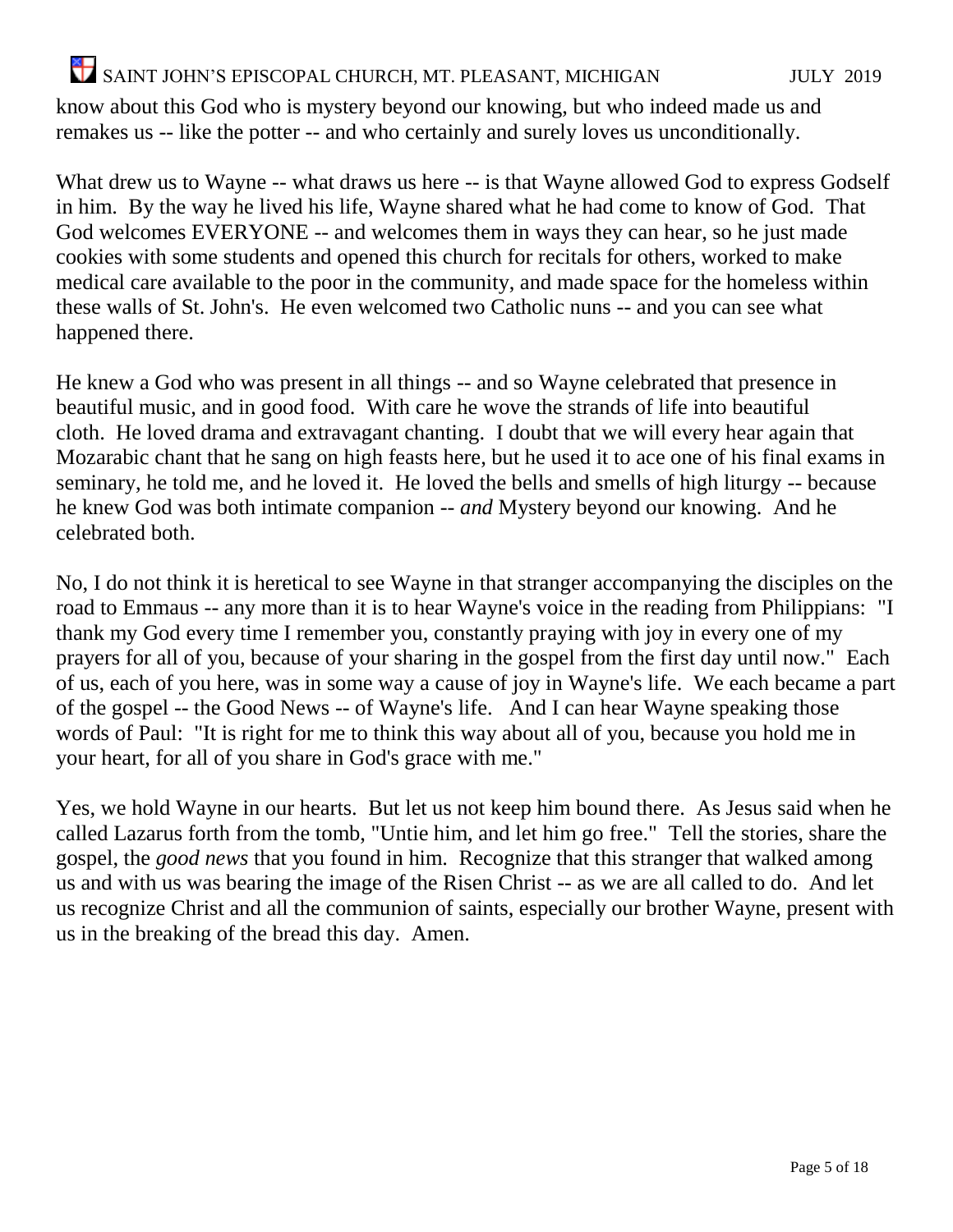know about this God who is mystery beyond our knowing, but who indeed made us and remakes us -- like the potter -- and who certainly and surely loves us unconditionally.

What drew us to Wayne -- what draws us here -- is that Wayne allowed God to express Godself in him. By the way he lived his life, Wayne shared what he had come to know of God. That God welcomes EVERYONE -- and welcomes them in ways they can hear, so he just made cookies with some students and opened this church for recitals for others, worked to make medical care available to the poor in the community, and made space for the homeless within these walls of St. John's. He even welcomed two Catholic nuns -- and you can see what happened there.

He knew a God who was present in all things -- and so Wayne celebrated that presence in beautiful music, and in good food. With care he wove the strands of life into beautiful cloth. He loved drama and extravagant chanting. I doubt that we will every hear again that Mozarabic chant that he sang on high feasts here, but he used it to ace one of his final exams in seminary, he told me, and he loved it. He loved the bells and smells of high liturgy -- because he knew God was both intimate companion -- *and* Mystery beyond our knowing. And he celebrated both.

No, I do not think it is heretical to see Wayne in that stranger accompanying the disciples on the road to Emmaus -- any more than it is to hear Wayne's voice in the reading from Philippians: "I thank my God every time I remember you, constantly praying with joy in every one of my prayers for all of you, because of your sharing in the gospel from the first day until now." Each of us, each of you here, was in some way a cause of joy in Wayne's life. We each became a part of the gospel -- the Good News -- of Wayne's life. And I can hear Wayne speaking those words of Paul: "It is right for me to think this way about all of you, because you hold me in your heart, for all of you share in God's grace with me."

Yes, we hold Wayne in our hearts. But let us not keep him bound there. As Jesus said when he called Lazarus forth from the tomb, "Untie him, and let him go free." Tell the stories, share the gospel, the *good news* that you found in him. Recognize that this stranger that walked among us and with us was bearing the image of the Risen Christ -- as we are all called to do. And let us recognize Christ and all the communion of saints, especially our brother Wayne, present with us in the breaking of the bread this day. Amen.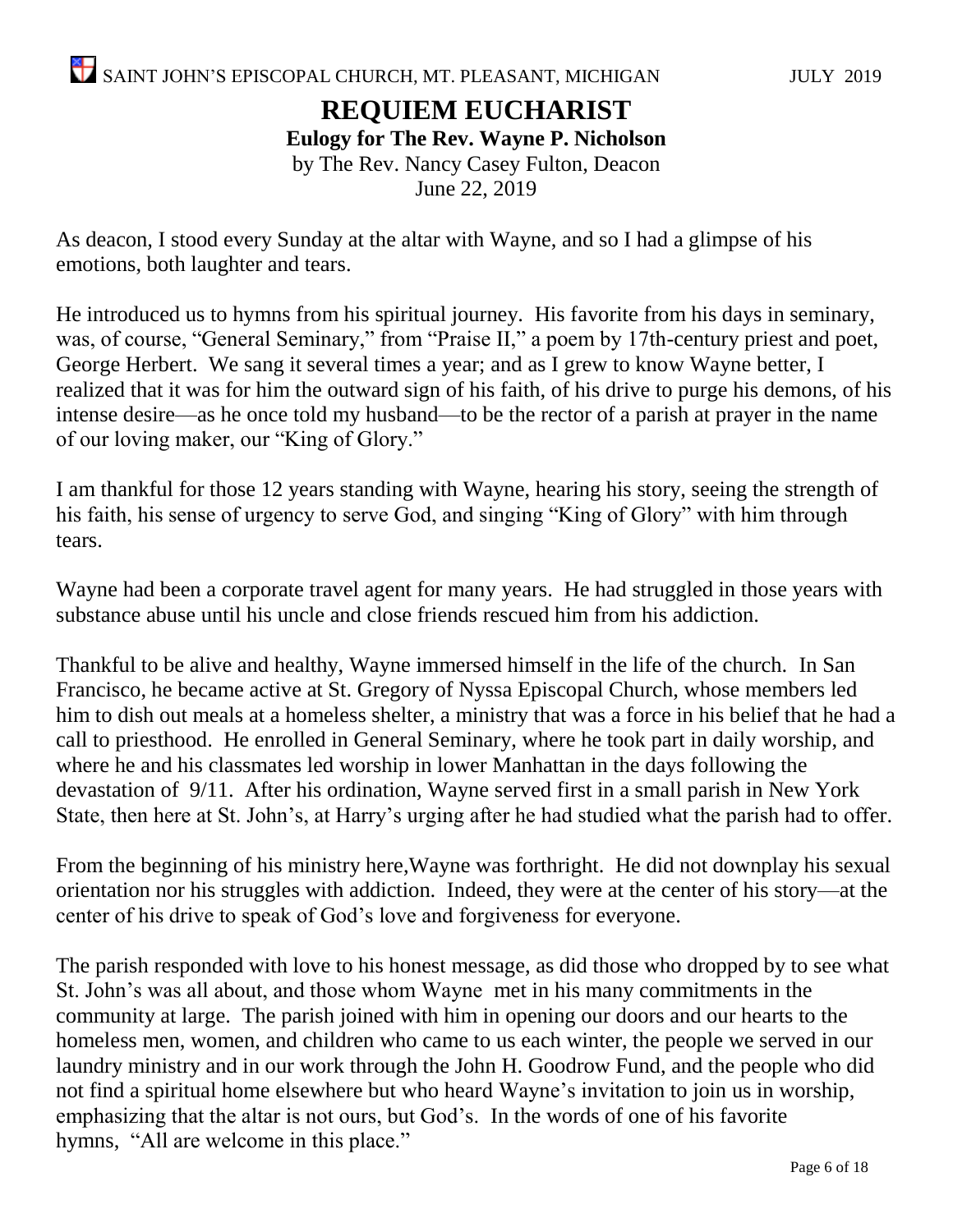#### **REQUIEM EUCHARIST Eulogy for The Rev. Wayne P. Nicholson** by The Rev. Nancy Casey Fulton, Deacon June 22, 2019

As deacon, I stood every Sunday at the altar with Wayne, and so I had a glimpse of his emotions, both laughter and tears.

He introduced us to hymns from his spiritual journey. His favorite from his days in seminary, was, of course, "General Seminary," from "Praise II," a poem by 17th-century priest and poet, George Herbert. We sang it several times a year; and as I grew to know Wayne better, I realized that it was for him the outward sign of his faith, of his drive to purge his demons, of his intense desire—as he once told my husband—to be the rector of a parish at prayer in the name of our loving maker, our "King of Glory."

I am thankful for those 12 years standing with Wayne, hearing his story, seeing the strength of his faith, his sense of urgency to serve God, and singing "King of Glory" with him through tears.

Wayne had been a corporate travel agent for many years. He had struggled in those years with substance abuse until his uncle and close friends rescued him from his addiction.

Thankful to be alive and healthy, Wayne immersed himself in the life of the church. In San Francisco, he became active at St. Gregory of Nyssa Episcopal Church, whose members led him to dish out meals at a homeless shelter, a ministry that was a force in his belief that he had a call to priesthood. He enrolled in General Seminary, where he took part in daily worship, and where he and his classmates led worship in lower Manhattan in the days following the devastation of 9/11. After his ordination, Wayne served first in a small parish in New York State, then here at St. John's, at Harry's urging after he had studied what the parish had to offer.

From the beginning of his ministry here,Wayne was forthright. He did not downplay his sexual orientation nor his struggles with addiction. Indeed, they were at the center of his story—at the center of his drive to speak of God's love and forgiveness for everyone.

The parish responded with love to his honest message, as did those who dropped by to see what St. John's was all about, and those whom Wayne met in his many commitments in the community at large. The parish joined with him in opening our doors and our hearts to the homeless men, women, and children who came to us each winter, the people we served in our laundry ministry and in our work through the John H. Goodrow Fund, and the people who did not find a spiritual home elsewhere but who heard Wayne's invitation to join us in worship, emphasizing that the altar is not ours, but God's. In the words of one of his favorite hymns, "All are welcome in this place."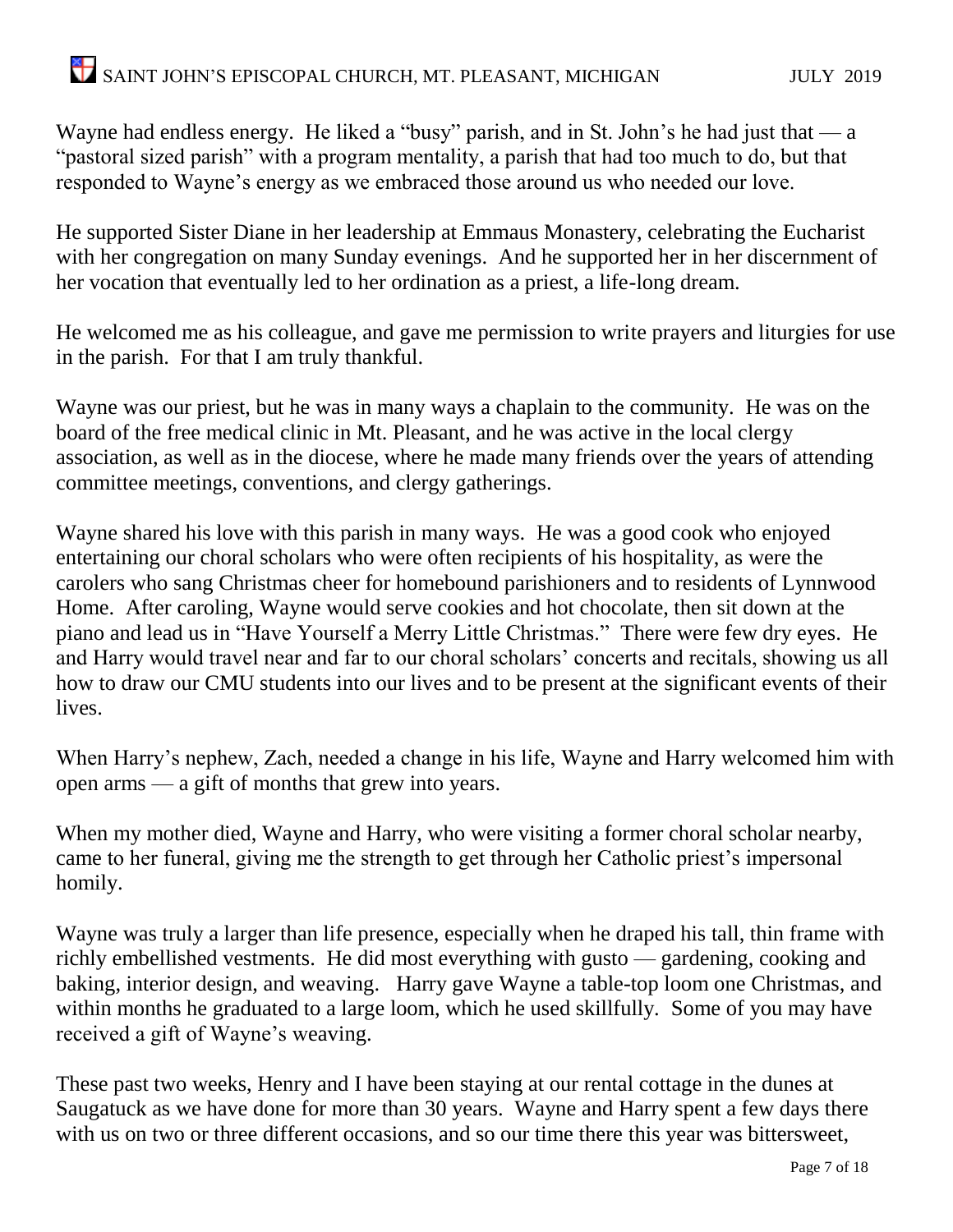Wayne had endless energy. He liked a "busy" parish, and in St. John's he had just that  $-a$ "pastoral sized parish" with a program mentality, a parish that had too much to do, but that responded to Wayne's energy as we embraced those around us who needed our love.

He supported Sister Diane in her leadership at Emmaus Monastery, celebrating the Eucharist with her congregation on many Sunday evenings. And he supported her in her discernment of her vocation that eventually led to her ordination as a priest, a life-long dream.

He welcomed me as his colleague, and gave me permission to write prayers and liturgies for use in the parish. For that I am truly thankful.

Wayne was our priest, but he was in many ways a chaplain to the community. He was on the board of the free medical clinic in Mt. Pleasant, and he was active in the local clergy association, as well as in the diocese, where he made many friends over the years of attending committee meetings, conventions, and clergy gatherings.

Wayne shared his love with this parish in many ways. He was a good cook who enjoyed entertaining our choral scholars who were often recipients of his hospitality, as were the carolers who sang Christmas cheer for homebound parishioners and to residents of Lynnwood Home. After caroling, Wayne would serve cookies and hot chocolate, then sit down at the piano and lead us in "Have Yourself a Merry Little Christmas." There were few dry eyes. He and Harry would travel near and far to our choral scholars' concerts and recitals, showing us all how to draw our CMU students into our lives and to be present at the significant events of their lives.

When Harry's nephew, Zach, needed a change in his life, Wayne and Harry welcomed him with open arms — a gift of months that grew into years.

When my mother died, Wayne and Harry, who were visiting a former choral scholar nearby, came to her funeral, giving me the strength to get through her Catholic priest's impersonal homily.

Wayne was truly a larger than life presence, especially when he draped his tall, thin frame with richly embellished vestments. He did most everything with gusto — gardening, cooking and baking, interior design, and weaving. Harry gave Wayne a table-top loom one Christmas, and within months he graduated to a large loom, which he used skillfully. Some of you may have received a gift of Wayne's weaving.

These past two weeks, Henry and I have been staying at our rental cottage in the dunes at Saugatuck as we have done for more than 30 years. Wayne and Harry spent a few days there with us on two or three different occasions, and so our time there this year was bittersweet,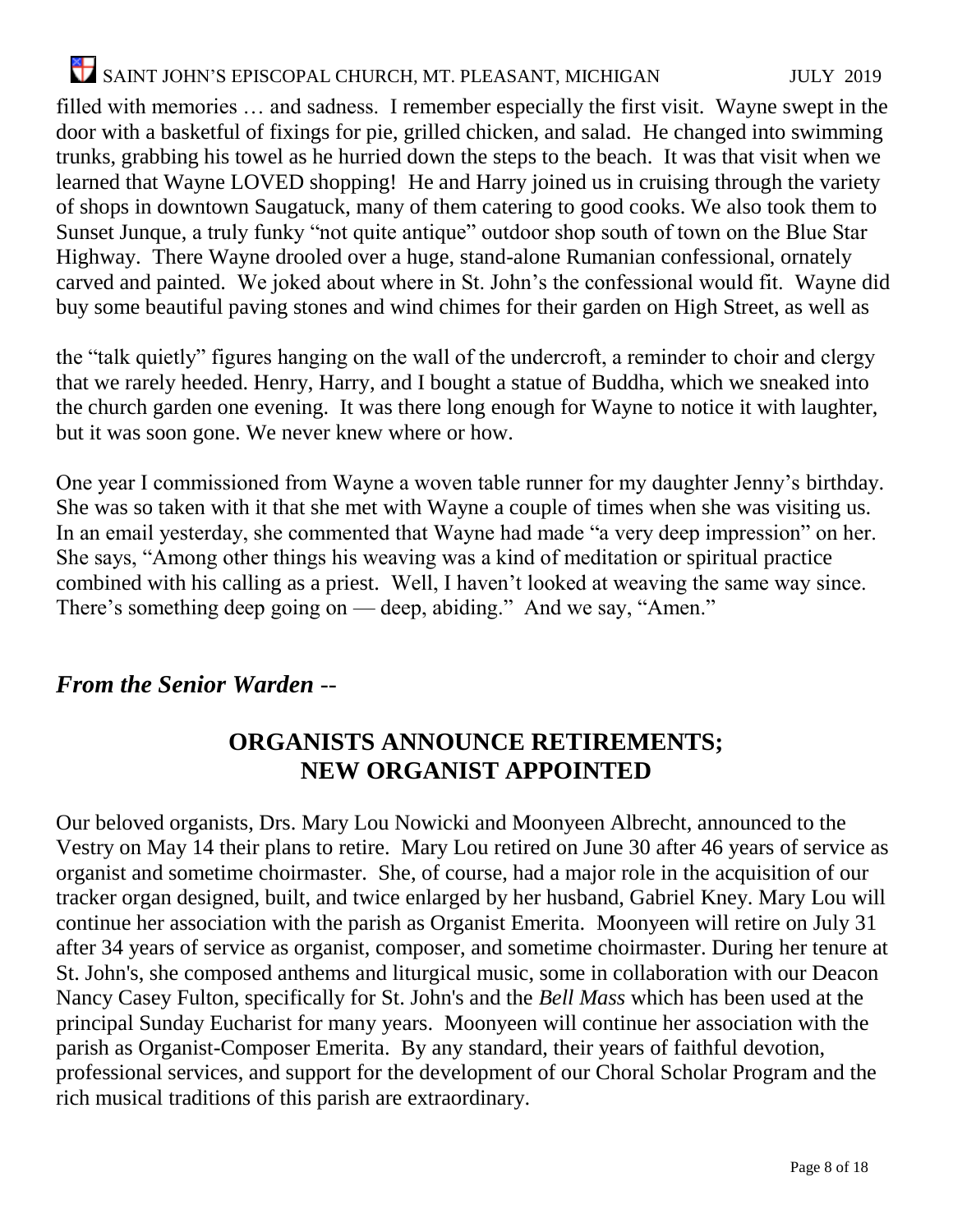filled with memories … and sadness. I remember especially the first visit. Wayne swept in the door with a basketful of fixings for pie, grilled chicken, and salad. He changed into swimming trunks, grabbing his towel as he hurried down the steps to the beach. It was that visit when we learned that Wayne LOVED shopping! He and Harry joined us in cruising through the variety of shops in downtown Saugatuck, many of them catering to good cooks. We also took them to Sunset Junque, a truly funky "not quite antique" outdoor shop south of town on the Blue Star Highway. There Wayne drooled over a huge, stand-alone Rumanian confessional, ornately carved and painted. We joked about where in St. John's the confessional would fit. Wayne did buy some beautiful paving stones and wind chimes for their garden on High Street, as well as

the "talk quietly" figures hanging on the wall of the undercroft, a reminder to choir and clergy that we rarely heeded. Henry, Harry, and I bought a statue of Buddha, which we sneaked into the church garden one evening. It was there long enough for Wayne to notice it with laughter, but it was soon gone. We never knew where or how.

One year I commissioned from Wayne a woven table runner for my daughter Jenny's birthday. She was so taken with it that she met with Wayne a couple of times when she was visiting us. In an email yesterday, she commented that Wayne had made "a very deep impression" on her. She says, "Among other things his weaving was a kind of meditation or spiritual practice combined with his calling as a priest. Well, I haven't looked at weaving the same way since. There's something deep going on — deep, abiding." And we say, "Amen."

#### *From the Senior Warden --*

#### **ORGANISTS ANNOUNCE RETIREMENTS; NEW ORGANIST APPOINTED**

Our beloved organists, Drs. Mary Lou Nowicki and Moonyeen Albrecht, announced to the Vestry on May 14 their plans to retire. Mary Lou retired on June 30 after 46 years of service as organist and sometime choirmaster. She, of course, had a major role in the acquisition of our tracker organ designed, built, and twice enlarged by her husband, Gabriel Kney. Mary Lou will continue her association with the parish as Organist Emerita. Moonyeen will retire on July 31 after 34 years of service as organist, composer, and sometime choirmaster. During her tenure at St. John's, she composed anthems and liturgical music, some in collaboration with our Deacon Nancy Casey Fulton, specifically for St. John's and the *Bell Mass* which has been used at the principal Sunday Eucharist for many years. Moonyeen will continue her association with the parish as Organist-Composer Emerita. By any standard, their years of faithful devotion, professional services, and support for the development of our Choral Scholar Program and the rich musical traditions of this parish are extraordinary.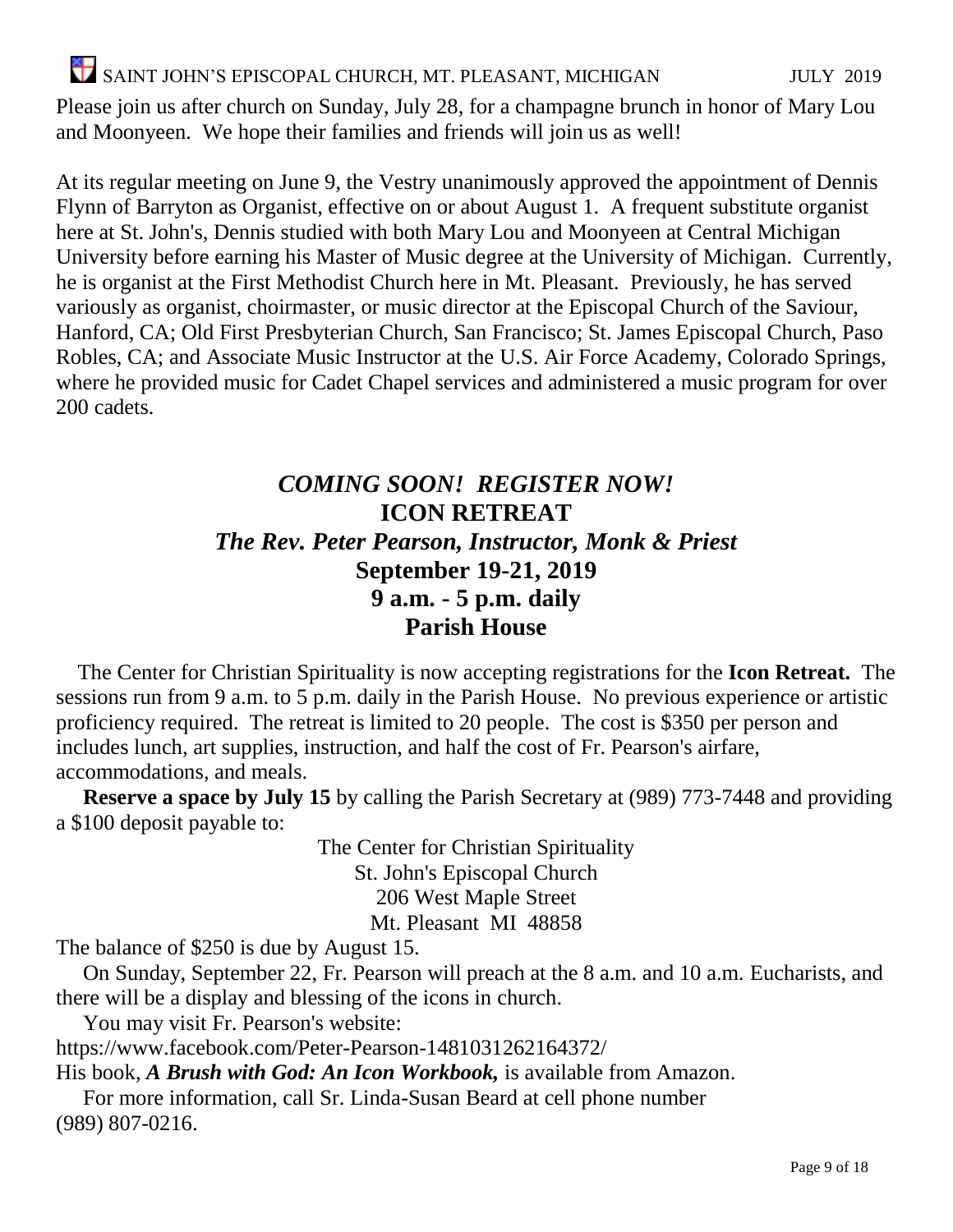Please join us after church on Sunday, July 28, for a champagne brunch in honor of Mary Lou and Moonyeen. We hope their families and friends will join us as well!

At its regular meeting on June 9, the Vestry unanimously approved the appointment of Dennis Flynn of Barryton as Organist, effective on or about August 1. A frequent substitute organist here at St. John's, Dennis studied with both Mary Lou and Moonyeen at Central Michigan University before earning his Master of Music degree at the University of Michigan. Currently, he is organist at the First Methodist Church here in Mt. Pleasant. Previously, he has served variously as organist, choirmaster, or music director at the Episcopal Church of the Saviour, Hanford, CA; Old First Presbyterian Church, San Francisco; St. James Episcopal Church, Paso Robles, CA; and Associate Music Instructor at the U.S. Air Force Academy, Colorado Springs, where he provided music for Cadet Chapel services and administered a music program for over 200 cadets.

#### *COMING SOON!**REGISTER NOW!* **ICON RETREAT** *The Rev. Peter Pearson, Instructor, Monk & Priest* **September 19-21, 2019 9 a.m. - 5 p.m. daily Parish House**

The Center for Christian Spirituality is now accepting registrations for the **Icon Retreat.** The sessions run from 9 a.m. to 5 p.m. daily in the Parish House. No previous experience or artistic proficiency required. The retreat is limited to 20 people. The cost is \$350 per person and includes lunch, art supplies, instruction, and half the cost of Fr. Pearson's airfare, accommodations, and meals.

**Reserve a space by July 15** by calling the Parish Secretary at (989) 773-7448 and providing a \$100 deposit payable to:

> The Center for Christian Spirituality St. John's Episcopal Church 206 West Maple Street Mt. Pleasant MI 48858

The balance of \$250 is due by August 15.

On Sunday, September 22, Fr. Pearson will preach at the 8 a.m. and 10 a.m. Eucharists, and there will be a display and blessing of the icons in church.

You may visit Fr. Pearson's website:

<https://www.facebook.com/Peter-Pearson-1481031262164372/>

His book, *A Brush with God: An Icon Workbook,* is available from Amazon.

For more information, call Sr. Linda-Susan Beard at cell phone number (989) 807-0216.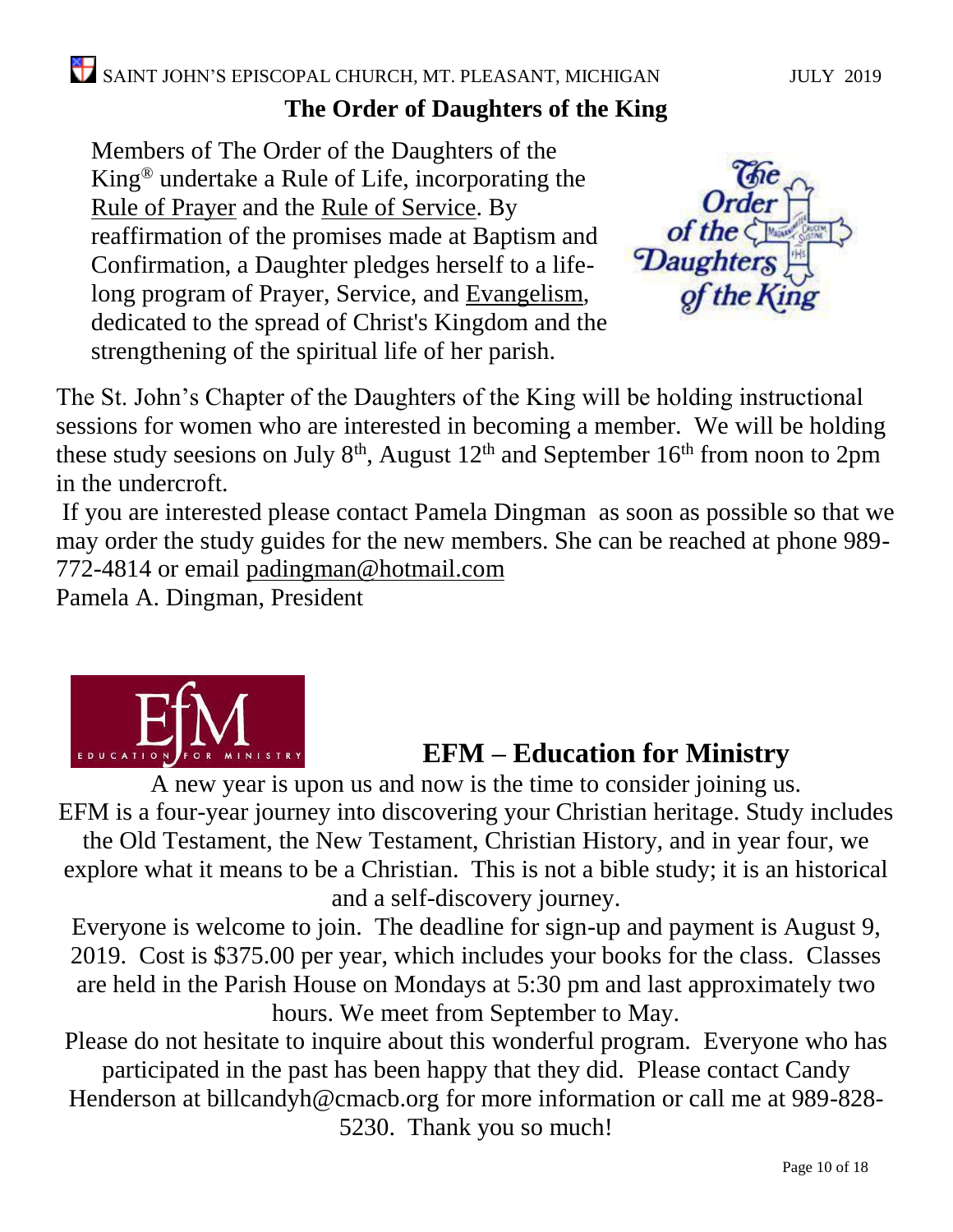### **The Order of Daughters of the King**

Members of The Order of the Daughters of the King® undertake a Rule of Life, incorporating the [Rule of Prayer](https://www.doknational.org/?page=RuleofPrayer) and the [Rule of Service.](https://www.doknational.org/?page=RuleofService) By reaffirmation of the promises made at Baptism and Confirmation, a Daughter pledges herself to a lifelong program of Prayer, Service, and [Evangelism,](https://www.doknational.org/page/RuleofLife?page=Evangelism) dedicated to the spread of Christ's Kingdom and the strengthening of the spiritual life of her parish.



The St. John's Chapter of the Daughters of the King will be holding instructional sessions for women who are interested in becoming a member. We will be holding these study seesions on July  $8<sup>th</sup>$ , August  $12<sup>th</sup>$  and September  $16<sup>th</sup>$  from noon to 2pm in the undercroft.

If you are interested please contact Pamela Dingman as soon as possible so that we may order the study guides for the new members. She can be reached at phone 989- 772-4814 or email [padingman@hotmail.com](mailto:padingman@hotmail.com)

Pamela A. Dingman, President



## **EFM – Education for Ministry**

A new year is upon us and now is the time to consider joining us. EFM is a four-year journey into discovering your Christian heritage. Study includes

the Old Testament, the New Testament, Christian History, and in year four, we explore what it means to be a Christian. This is not a bible study; it is an historical and a self-discovery journey.

Everyone is welcome to join. The deadline for sign-up and payment is August 9, 2019. Cost is \$375.00 per year, which includes your books for the class. Classes are held in the Parish House on Mondays at 5:30 pm and last approximately two hours. We meet from September to May.

Please do not hesitate to inquire about this wonderful program. Everyone who has participated in the past has been happy that they did. Please contact Candy Henderson at [billcandyh@cmacb.org](mailto:billcandyh@cmacb.org) for more information or call me at 989-828- 5230. Thank you so much!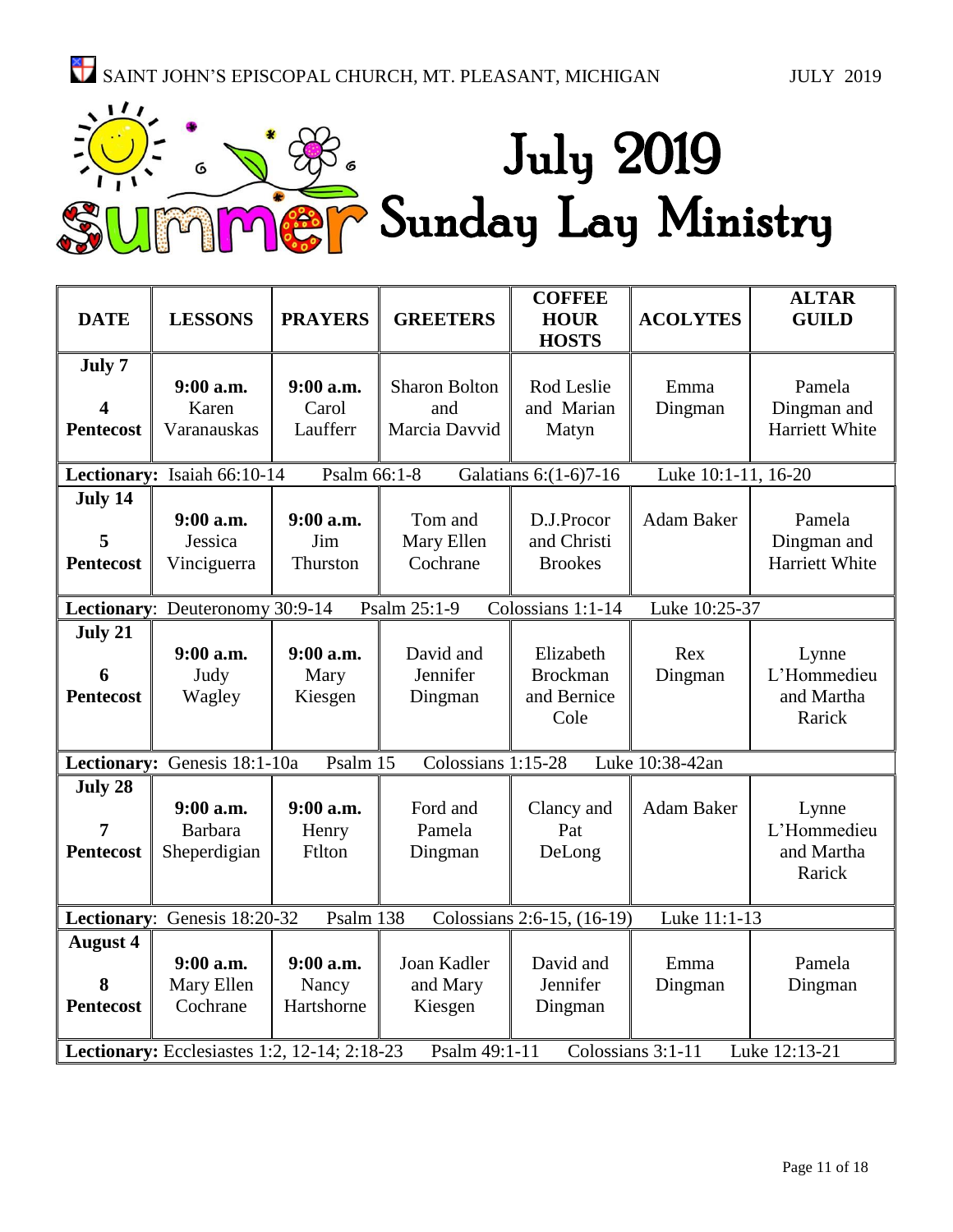

| <b>DATE</b>                                                                                         | <b>LESSONS</b>                                                                        | <b>PRAYERS</b> | <b>GREETERS</b>      | <b>COFFEE</b><br><b>HOUR</b><br><b>HOSTS</b> | <b>ACOLYTES</b>     | <b>ALTAR</b><br><b>GUILD</b> |
|-----------------------------------------------------------------------------------------------------|---------------------------------------------------------------------------------------|----------------|----------------------|----------------------------------------------|---------------------|------------------------------|
|                                                                                                     |                                                                                       |                |                      |                                              |                     |                              |
| July 7                                                                                              |                                                                                       |                |                      |                                              |                     |                              |
|                                                                                                     | 9:00 a.m.                                                                             | 9:00 a.m.      | <b>Sharon Bolton</b> | Rod Leslie                                   | Emma                | Pamela                       |
| 4                                                                                                   | Karen                                                                                 | Carol          | and                  | and Marian                                   | Dingman             | Dingman and                  |
| <b>Pentecost</b>                                                                                    | Varanauskas                                                                           | Laufferr       | Marcia Davvid        | Matyn                                        |                     | Harriett White               |
|                                                                                                     |                                                                                       |                |                      |                                              |                     |                              |
|                                                                                                     | Lectionary: Isaiah 66:10-14                                                           | Psalm 66:1-8   |                      | Galatians 6:(1-6)7-16                        | Luke 10:1-11, 16-20 |                              |
| July 14                                                                                             |                                                                                       |                |                      |                                              |                     |                              |
|                                                                                                     | 9:00 a.m.                                                                             | 9:00 a.m.      | Tom and              | D.J.Procor                                   | Adam Baker          | Pamela                       |
| 5                                                                                                   | Jessica                                                                               | Jim            | Mary Ellen           | and Christi                                  |                     | Dingman and                  |
| <b>Pentecost</b>                                                                                    | Vinciguerra                                                                           | Thurston       | Cochrane             | <b>Brookes</b>                               |                     | Harriett White               |
|                                                                                                     |                                                                                       |                |                      |                                              |                     |                              |
|                                                                                                     | Lectionary: Deuteronomy 30:9-14<br>Colossians 1:1-14<br>Psalm 25:1-9<br>Luke 10:25-37 |                |                      |                                              |                     |                              |
| July 21                                                                                             |                                                                                       |                |                      |                                              |                     |                              |
|                                                                                                     | $9:00$ a.m.                                                                           | $9:00$ a.m.    | David and            | Elizabeth                                    | Rex                 | Lynne                        |
| 6                                                                                                   | Judy                                                                                  | Mary           | Jennifer             | <b>Brockman</b>                              | Dingman             | L'Hommedieu                  |
| <b>Pentecost</b>                                                                                    | Wagley                                                                                | Kiesgen        | Dingman              | and Bernice                                  |                     | and Martha                   |
|                                                                                                     |                                                                                       |                |                      | Cole                                         |                     | Rarick                       |
|                                                                                                     |                                                                                       |                |                      |                                              |                     |                              |
|                                                                                                     | Lectionary: Genesis 18:1-10a                                                          | Psalm 15       | Colossians 1:15-28   |                                              | Luke 10:38-42an     |                              |
| July 28                                                                                             |                                                                                       |                |                      |                                              |                     |                              |
|                                                                                                     | $9:00$ a.m.                                                                           | 9:00 a.m.      | Ford and             | Clancy and                                   | <b>Adam Baker</b>   | Lynne                        |
| 7                                                                                                   | Barbara                                                                               | Henry          | Pamela               | Pat                                          |                     | L'Hommedieu                  |
| <b>Pentecost</b>                                                                                    | Sheperdigian                                                                          | Ftlton         | Dingman              | DeLong                                       |                     | and Martha                   |
|                                                                                                     |                                                                                       |                |                      |                                              |                     | Rarick                       |
|                                                                                                     |                                                                                       |                |                      |                                              |                     |                              |
| Lectionary: Genesis 18:20-32<br>Psalm 138<br>Colossians 2:6-15, (16-19)<br>Luke 11:1-13             |                                                                                       |                |                      |                                              |                     |                              |
| <b>August 4</b>                                                                                     |                                                                                       |                |                      |                                              |                     |                              |
|                                                                                                     | $9:00$ a.m.                                                                           | 9:00 a.m.      | Joan Kadler          | David and                                    | Emma                | Pamela                       |
| 8                                                                                                   | Mary Ellen                                                                            | Nancy          | and Mary             | Jennifer                                     | Dingman             | Dingman                      |
| <b>Pentecost</b>                                                                                    | Cochrane                                                                              | Hartshorne     | Kiesgen              | Dingman                                      |                     |                              |
|                                                                                                     |                                                                                       |                |                      |                                              |                     |                              |
| Colossians 3:1-11<br>Lectionary: Ecclesiastes 1:2, 12-14; 2:18-23<br>Psalm 49:1-11<br>Luke 12:13-21 |                                                                                       |                |                      |                                              |                     |                              |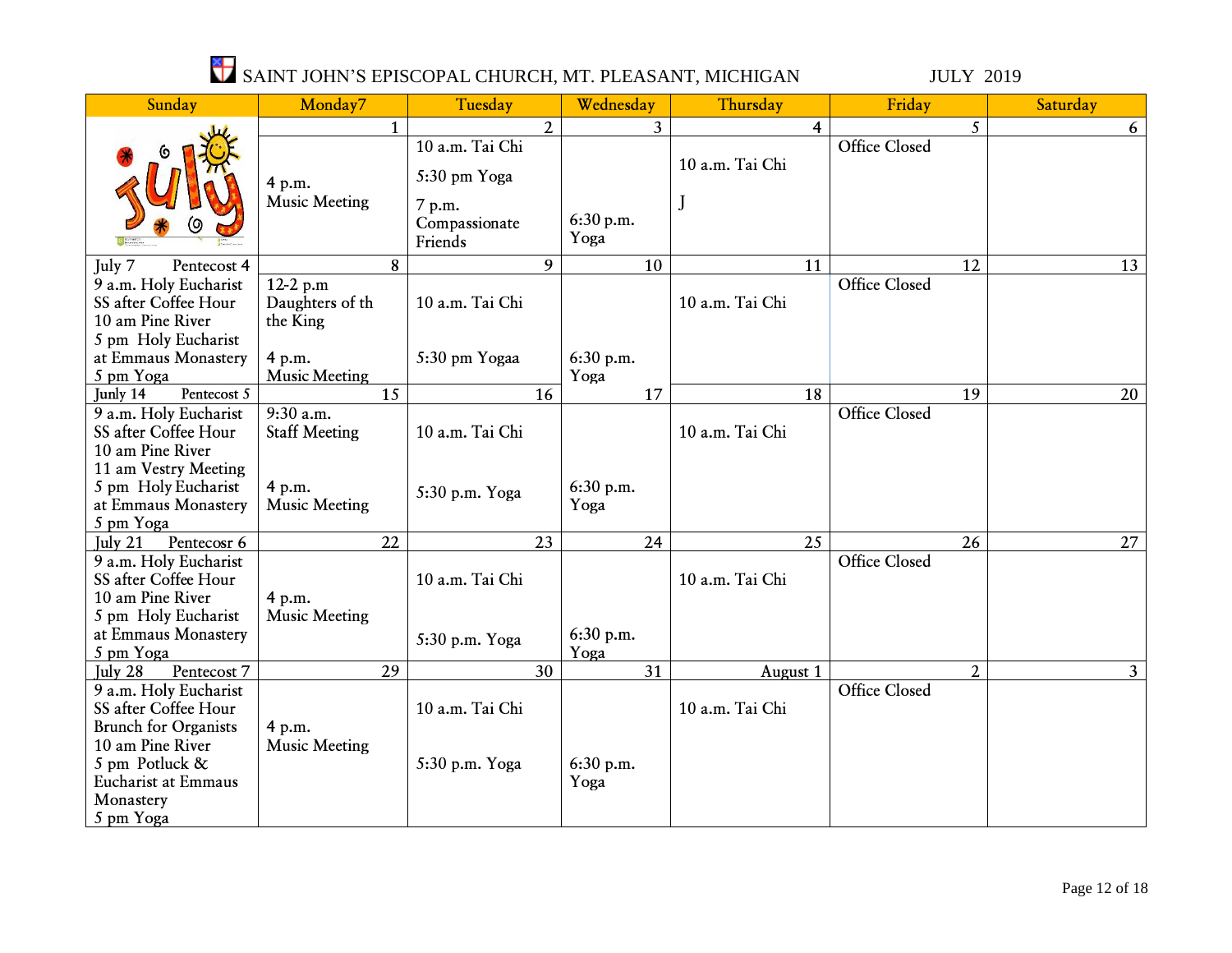| Sunday                                                                                                                                           | Monday7                                 | Tuesday                            | Wednesday         | Thursday        | Friday               | Saturday       |
|--------------------------------------------------------------------------------------------------------------------------------------------------|-----------------------------------------|------------------------------------|-------------------|-----------------|----------------------|----------------|
|                                                                                                                                                  |                                         | $\overline{2}$                     | 3 <sup>1</sup>    | 4               | 5                    | 6              |
|                                                                                                                                                  | 4 p.m.                                  | 10 a.m. Tai Chi<br>5:30 pm Yoga    |                   | 10 a.m. Tai Chi | <b>Office Closed</b> |                |
|                                                                                                                                                  | <b>Music Meeting</b>                    | 7 p.m.<br>Compassionate<br>Friends | 6:30 p.m.<br>Yoga | J               |                      |                |
| Pentecost 4<br>July 7                                                                                                                            | 8                                       | 9                                  | 10                | 11              | 12                   | 13             |
| 9 a.m. Holy Eucharist<br>SS after Coffee Hour<br>10 am Pine River                                                                                | 12-2 p.m<br>Daughters of th<br>the King | 10 a.m. Tai Chi                    |                   | 10 a.m. Tai Chi | <b>Office Closed</b> |                |
| 5 pm Holy Eucharist<br>at Emmaus Monastery<br>5 pm Yoga                                                                                          | 4 p.m.<br><b>Music Meeting</b>          | 5:30 pm Yogaa                      | 6:30 p.m.<br>Yoga |                 |                      |                |
| Pentecost 5<br>Junly 14                                                                                                                          | 15                                      | 16                                 | 17                | $\overline{18}$ | $\overline{19}$      | 20             |
| 9 a.m. Holy Eucharist<br>SS after Coffee Hour<br>10 am Pine River                                                                                | $9:30$ a.m.<br><b>Staff Meeting</b>     | 10 a.m. Tai Chi                    |                   | 10 a.m. Tai Chi | <b>Office Closed</b> |                |
| 11 am Vestry Meeting<br>5 pm Holy Eucharist<br>at Emmaus Monastery<br>5 pm Yoga                                                                  | 4 p.m.<br><b>Music Meeting</b>          | 5:30 p.m. Yoga                     | 6:30 p.m.<br>Yoga |                 |                      |                |
| Pentecosr 6<br>July $21$                                                                                                                         | 22                                      | 23                                 | 24                | 25              | 26                   | 27             |
| 9 a.m. Holy Eucharist<br>SS after Coffee Hour<br>10 am Pine River                                                                                | 4 p.m.                                  | 10 a.m. Tai Chi                    |                   | 10 a.m. Tai Chi | <b>Office Closed</b> |                |
| 5 pm Holy Eucharist<br>at Emmaus Monastery<br>5 pm Yoga                                                                                          | <b>Music Meeting</b>                    | 5:30 p.m. Yoga                     | 6:30 p.m.<br>Yoga |                 |                      |                |
| July 28<br>Pentecost 7                                                                                                                           | 29                                      | 30                                 | 31                | August 1        | $\overline{2}$       | 3 <sup>1</sup> |
| 9 a.m. Holy Eucharist<br>SS after Coffee Hour<br><b>Brunch for Organists</b><br>10 am Pine River<br>5 pm Potluck &<br><b>Eucharist at Emmaus</b> | 4 p.m.<br><b>Music Meeting</b>          | 10 a.m. Tai Chi<br>5:30 p.m. Yoga  | 6:30 p.m.<br>Yoga | 10 a.m. Tai Chi | <b>Office Closed</b> |                |
| Monastery<br>5 pm Yoga                                                                                                                           |                                         |                                    |                   |                 |                      |                |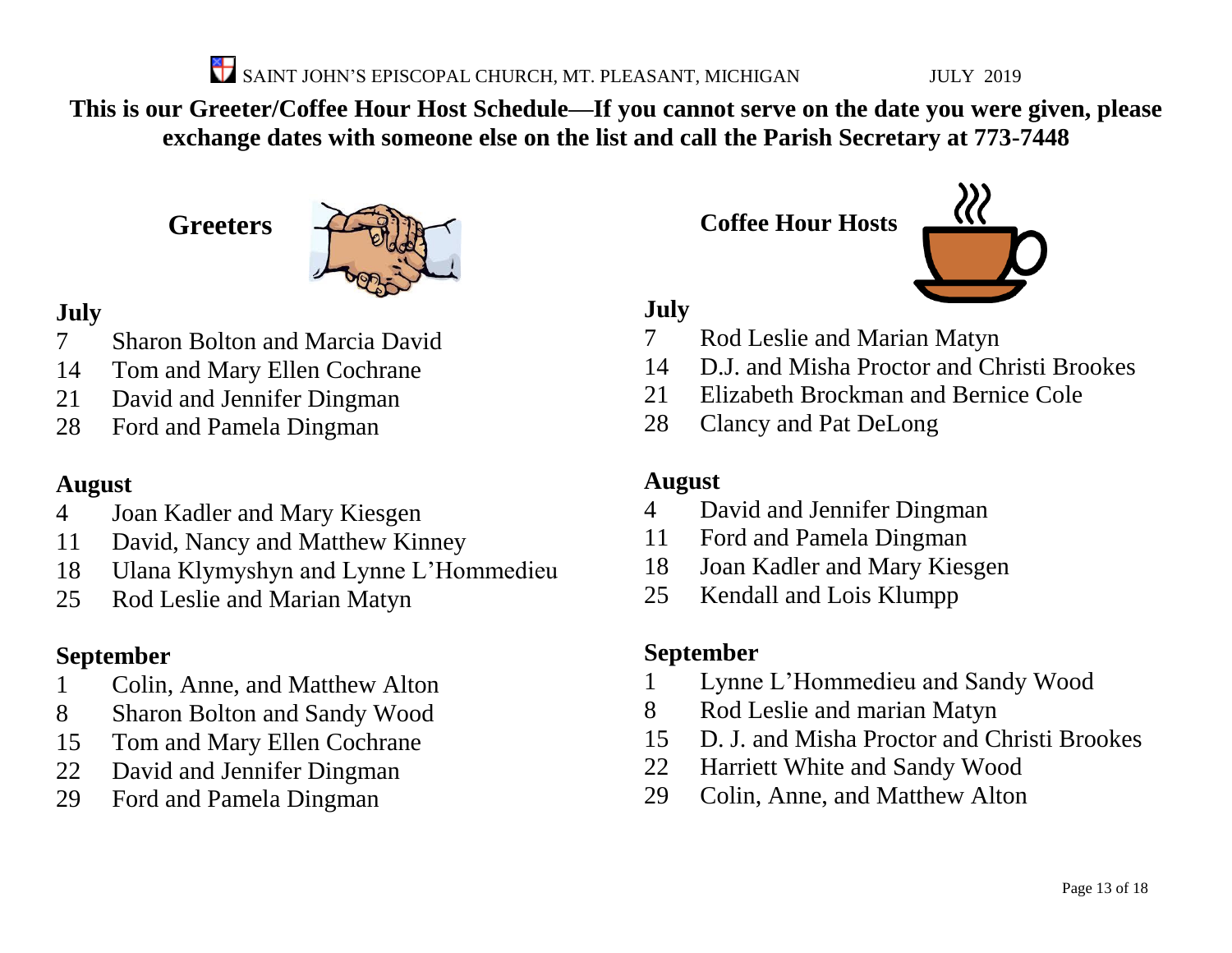**This is our Greeter/Coffee Hour Host Schedule—If you cannot serve on the date you were given, please exchange dates with someone else on the list and call the Parish Secretary at 773-7448**

**Greeters**



#### **July**

- Sharon Bolton and Marcia David
- Tom and Mary Ellen Cochrane
- David and Jennifer Dingman
- Ford and Pamela Dingman

#### **August**

- Joan Kadler and Mary Kiesgen
- David, Nancy and Matthew Kinney
- Ulana Klymyshyn and Lynne L'Hommedieu
- Rod Leslie and Marian Matyn

### **September**

- Colin, Anne, and Matthew Alton
- Sharon Bolton and Sandy Wood
- Tom and Mary Ellen Cochrane
- David and Jennifer Dingman
- Ford and Pamela Dingman

**Coffee Hour Hosts**



**July**

- Rod Leslie and Marian Matyn
- D.J. and Misha Proctor and Christi Brookes
- Elizabeth Brockman and Bernice Cole
- Clancy and Pat DeLong

#### **August**

- David and Jennifer Dingman
- Ford and Pamela Dingman
- Joan Kadler and Mary Kiesgen
- Kendall and Lois Klumpp

### **September**

- Lynne L'Hommedieu and Sandy Wood
- Rod Leslie and marian Matyn
- D. J. and Misha Proctor and Christi Brookes
- Harriett White and Sandy Wood
- Colin, Anne, and Matthew Alton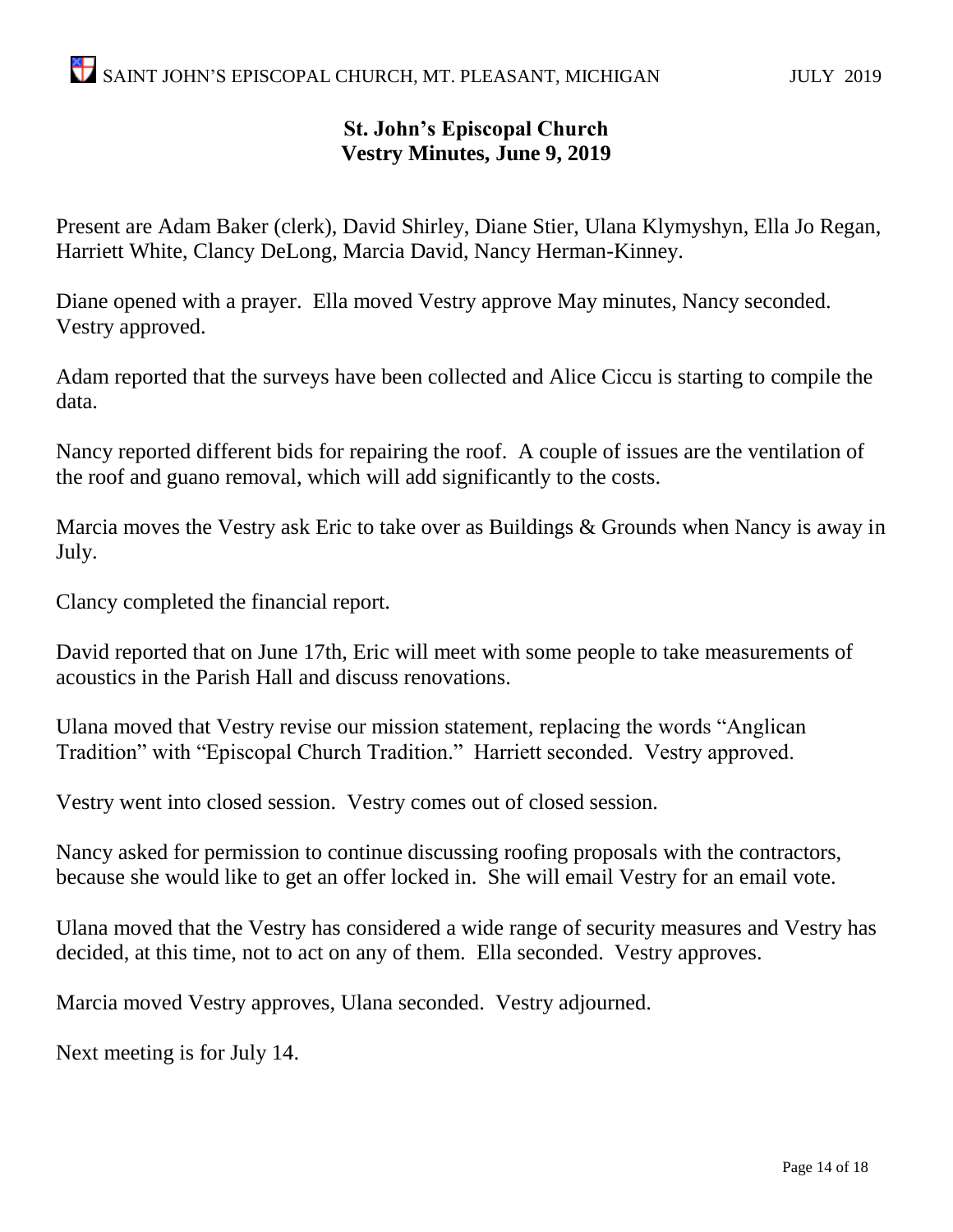#### **St. John's Episcopal Church Vestry Minutes, June 9, 2019**

Present are Adam Baker (clerk), David Shirley, Diane Stier, Ulana Klymyshyn, Ella Jo Regan, Harriett White, Clancy DeLong, Marcia David, Nancy Herman-Kinney.

Diane opened with a prayer. Ella moved Vestry approve May minutes, Nancy seconded. Vestry approved.

Adam reported that the surveys have been collected and Alice Ciccu is starting to compile the data.

Nancy reported different bids for repairing the roof. A couple of issues are the ventilation of the roof and guano removal, which will add significantly to the costs.

Marcia moves the Vestry ask Eric to take over as Buildings & Grounds when Nancy is away in July.

Clancy completed the financial report.

David reported that on June 17th, Eric will meet with some people to take measurements of acoustics in the Parish Hall and discuss renovations.

Ulana moved that Vestry revise our mission statement, replacing the words "Anglican Tradition" with "Episcopal Church Tradition." Harriett seconded. Vestry approved.

Vestry went into closed session. Vestry comes out of closed session.

Nancy asked for permission to continue discussing roofing proposals with the contractors, because she would like to get an offer locked in. She will email Vestry for an email vote.

Ulana moved that the Vestry has considered a wide range of security measures and Vestry has decided, at this time, not to act on any of them. Ella seconded. Vestry approves.

Marcia moved Vestry approves, Ulana seconded. Vestry adjourned.

Next meeting is for July 14.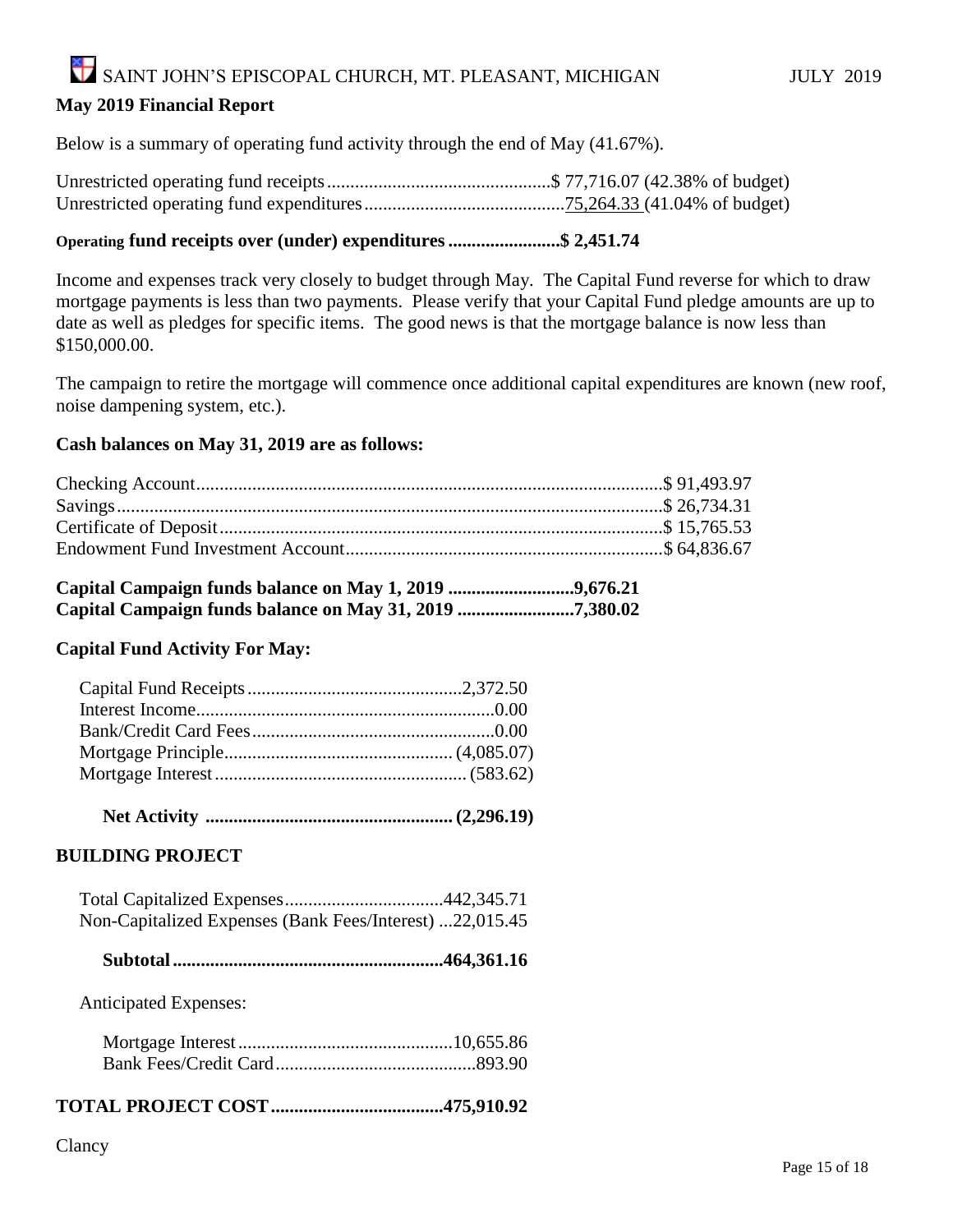### SAINT JOHN'S EPISCOPAL CHURCH, MT. PLEASANT, MICHIGAN JULY 2019 **May 2019 Financial Report**

Below is a summary of operating fund activity through the end of May (41.67%).

#### **Operating fund receipts over (under) expenditures........................\$ 2,451.74**

Income and expenses track very closely to budget through May. The Capital Fund reverse for which to draw mortgage payments is less than two payments. Please verify that your Capital Fund pledge amounts are up to date as well as pledges for specific items. The good news is that the mortgage balance is now less than \$150,000.00.

The campaign to retire the mortgage will commence once additional capital expenditures are known (new roof, noise dampening system, etc.).

#### **Cash balances on May 31, 2019 are as follows:**

#### **Capital Campaign funds balance on May 1, 2019 ...........................9,676.21 Capital Campaign funds balance on May 31, 2019 .........................7,380.02**

#### **Capital Fund Activity For May:**

 **Net Activity ..................................................... (2,296.19)**

#### **BUILDING PROJECT**

| Non-Capitalized Expenses (Bank Fees/Interest) 22,015.45 |  |
|---------------------------------------------------------|--|

 **Subtotal..........................................................464,361.16**

Anticipated Expenses:

#### **TOTAL PROJECT COST.....................................475,910.92**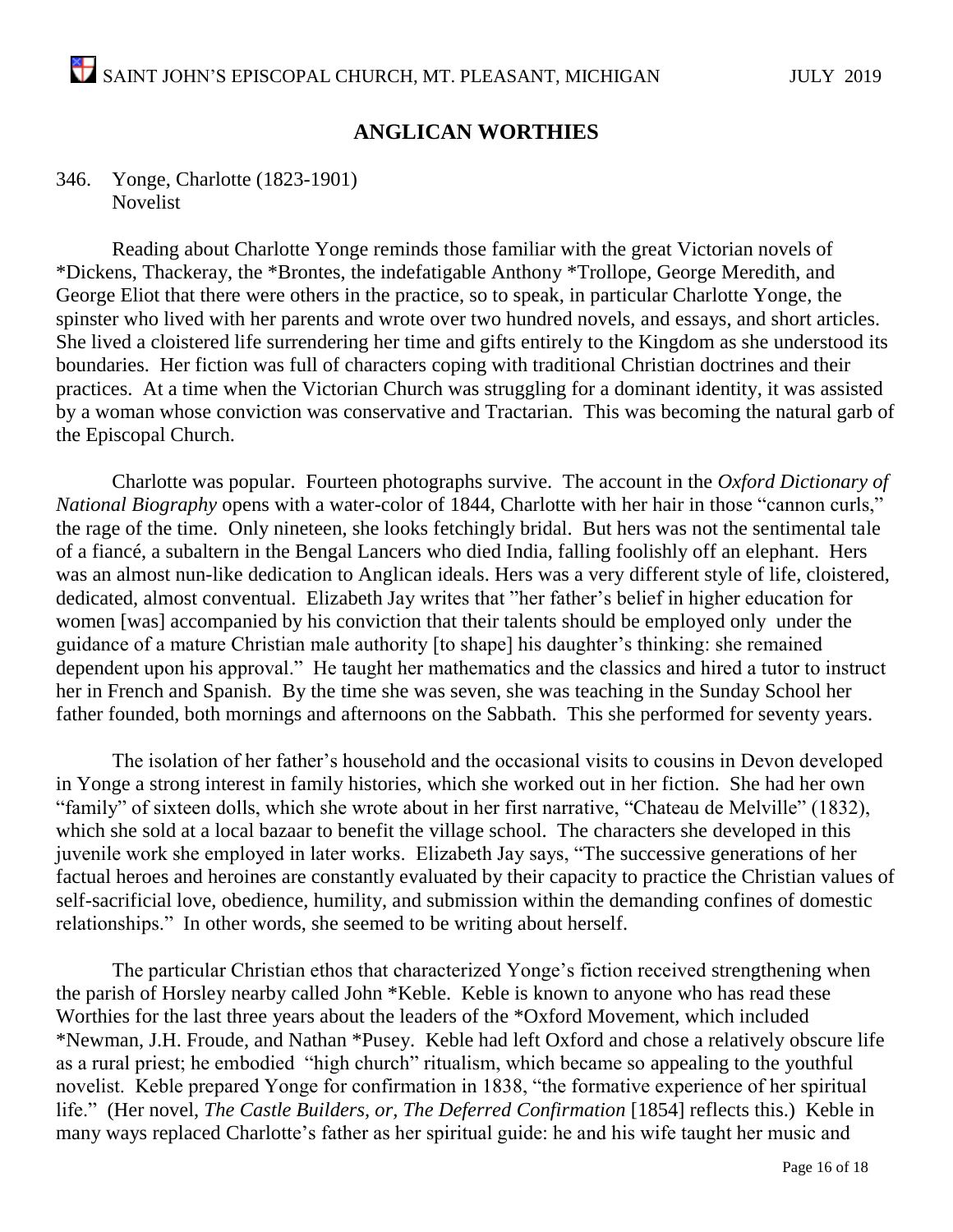#### **ANGLICAN WORTHIES**

#### 346. Yonge, Charlotte (1823-1901) Novelist

Reading about Charlotte Yonge reminds those familiar with the great Victorian novels of \*Dickens, Thackeray, the \*Brontes, the indefatigable Anthony \*Trollope, George Meredith, and George Eliot that there were others in the practice, so to speak, in particular Charlotte Yonge, the spinster who lived with her parents and wrote over two hundred novels, and essays, and short articles. She lived a cloistered life surrendering her time and gifts entirely to the Kingdom as she understood its boundaries. Her fiction was full of characters coping with traditional Christian doctrines and their practices. At a time when the Victorian Church was struggling for a dominant identity, it was assisted by a woman whose conviction was conservative and Tractarian. This was becoming the natural garb of the Episcopal Church.

Charlotte was popular. Fourteen photographs survive. The account in the *Oxford Dictionary of National Biography* opens with a water-color of 1844, Charlotte with her hair in those "cannon curls," the rage of the time. Only nineteen, she looks fetchingly bridal. But hers was not the sentimental tale of a fiancé, a subaltern in the Bengal Lancers who died India, falling foolishly off an elephant. Hers was an almost nun-like dedication to Anglican ideals. Hers was a very different style of life, cloistered, dedicated, almost conventual. Elizabeth Jay writes that "her father's belief in higher education for women [was] accompanied by his conviction that their talents should be employed only under the guidance of a mature Christian male authority [to shape] his daughter's thinking: she remained dependent upon his approval." He taught her mathematics and the classics and hired a tutor to instruct her in French and Spanish. By the time she was seven, she was teaching in the Sunday School her father founded, both mornings and afternoons on the Sabbath. This she performed for seventy years.

The isolation of her father's household and the occasional visits to cousins in Devon developed in Yonge a strong interest in family histories, which she worked out in her fiction. She had her own "family" of sixteen dolls, which she wrote about in her first narrative, "Chateau de Melville" (1832), which she sold at a local bazaar to benefit the village school. The characters she developed in this juvenile work she employed in later works. Elizabeth Jay says, "The successive generations of her factual heroes and heroines are constantly evaluated by their capacity to practice the Christian values of self-sacrificial love, obedience, humility, and submission within the demanding confines of domestic relationships." In other words, she seemed to be writing about herself.

The particular Christian ethos that characterized Yonge's fiction received strengthening when the parish of Horsley nearby called John \*Keble. Keble is known to anyone who has read these Worthies for the last three years about the leaders of the \*Oxford Movement, which included \*Newman, J.H. Froude, and Nathan \*Pusey. Keble had left Oxford and chose a relatively obscure life as a rural priest; he embodied "high church" ritualism, which became so appealing to the youthful novelist. Keble prepared Yonge for confirmation in 1838, "the formative experience of her spiritual life." (Her novel, *The Castle Builders, or, The Deferred Confirmation* [1854] reflects this.) Keble in many ways replaced Charlotte's father as her spiritual guide: he and his wife taught her music and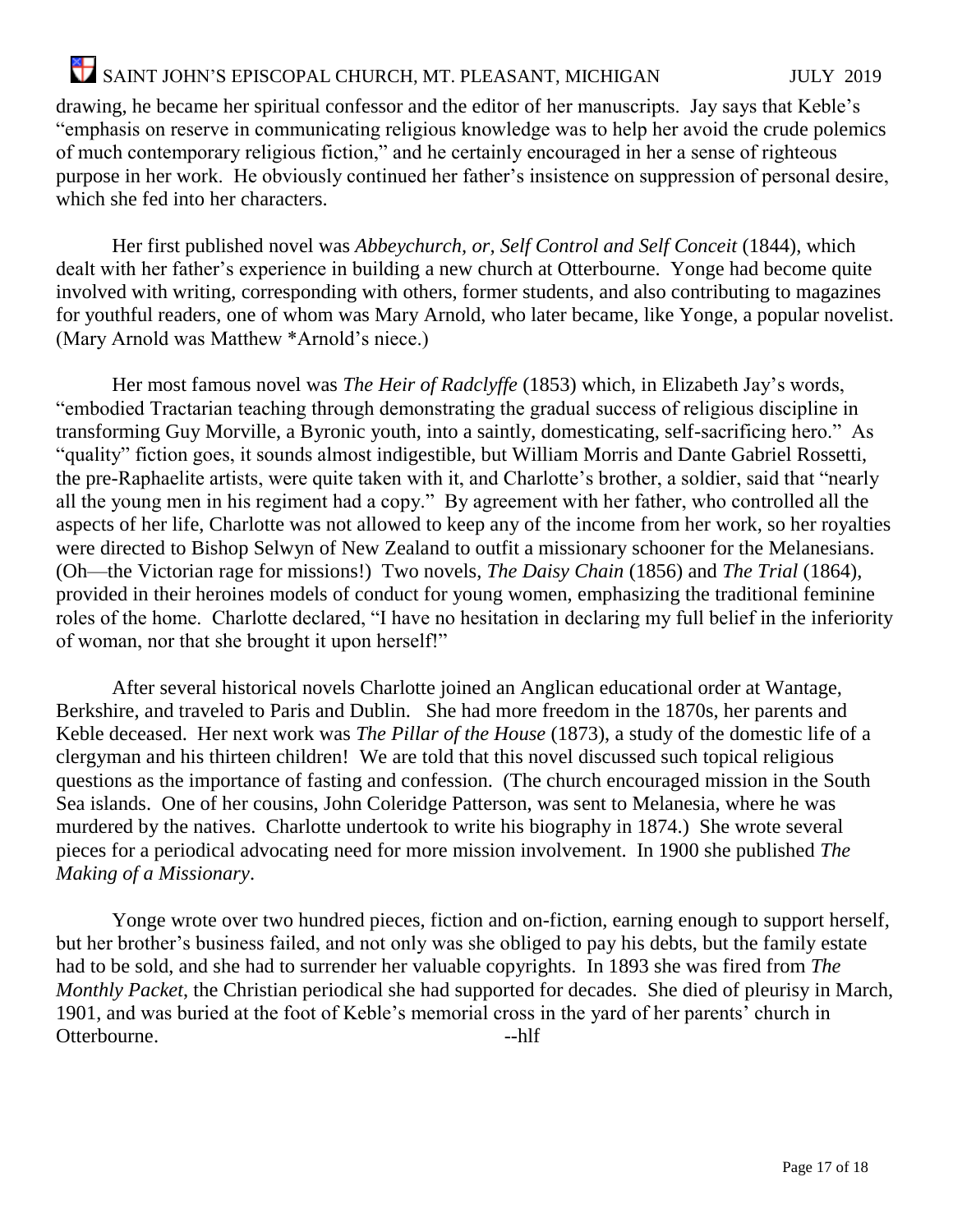drawing, he became her spiritual confessor and the editor of her manuscripts. Jay says that Keble's "emphasis on reserve in communicating religious knowledge was to help her avoid the crude polemics of much contemporary religious fiction," and he certainly encouraged in her a sense of righteous purpose in her work. He obviously continued her father's insistence on suppression of personal desire, which she fed into her characters.

Her first published novel was *Abbeychurch, or, Self Control and Self Conceit* (1844), which dealt with her father's experience in building a new church at Otterbourne. Yonge had become quite involved with writing, corresponding with others, former students, and also contributing to magazines for youthful readers, one of whom was Mary Arnold, who later became, like Yonge, a popular novelist. (Mary Arnold was Matthew \*Arnold's niece.)

Her most famous novel was *The Heir of Radclyffe* (1853) which, in Elizabeth Jay's words, "embodied Tractarian teaching through demonstrating the gradual success of religious discipline in transforming Guy Morville, a Byronic youth, into a saintly, domesticating, self-sacrificing hero." As "quality" fiction goes, it sounds almost indigestible, but William Morris and Dante Gabriel Rossetti, the pre-Raphaelite artists, were quite taken with it, and Charlotte's brother, a soldier, said that "nearly all the young men in his regiment had a copy." By agreement with her father, who controlled all the aspects of her life, Charlotte was not allowed to keep any of the income from her work, so her royalties were directed to Bishop Selwyn of New Zealand to outfit a missionary schooner for the Melanesians. (Oh—the Victorian rage for missions!) Two novels, *The Daisy Chain* (1856) and *The Trial* (1864), provided in their heroines models of conduct for young women, emphasizing the traditional feminine roles of the home. Charlotte declared, "I have no hesitation in declaring my full belief in the inferiority of woman, nor that she brought it upon herself!"

After several historical novels Charlotte joined an Anglican educational order at Wantage, Berkshire, and traveled to Paris and Dublin. She had more freedom in the 1870s, her parents and Keble deceased. Her next work was *The Pillar of the House* (1873), a study of the domestic life of a clergyman and his thirteen children! We are told that this novel discussed such topical religious questions as the importance of fasting and confession. (The church encouraged mission in the South Sea islands. One of her cousins, John Coleridge Patterson, was sent to Melanesia, where he was murdered by the natives. Charlotte undertook to write his biography in 1874.) She wrote several pieces for a periodical advocating need for more mission involvement. In 1900 she published *The Making of a Missionary*.

Yonge wrote over two hundred pieces, fiction and on-fiction, earning enough to support herself, but her brother's business failed, and not only was she obliged to pay his debts, but the family estate had to be sold, and she had to surrender her valuable copyrights. In 1893 she was fired from *The Monthly Packet*, the Christian periodical she had supported for decades. She died of pleurisy in March, 1901, and was buried at the foot of Keble's memorial cross in the yard of her parents' church in Otterbourne. --hlf